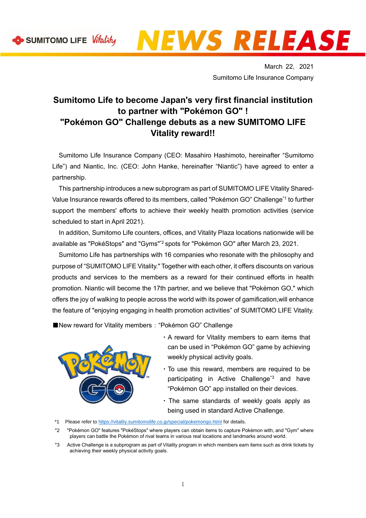



March 22, 2021 Sumitomo Life Insurance Company

## **Sumitomo Life to become Japan's very first financial institution to partner with "Pokémon GO" ! "Pokémon GO" Challenge debuts as a new SUMITOMO LIFE Vitality reward!!**

Sumitomo Life Insurance Company (CEO: Masahiro Hashimoto, hereinafter "Sumitomo Life") and Niantic, Inc. (CEO: John Hanke, hereinafter "Niantic") have agreed to enter a partnership.

This partnership introduces a new subprogram as part of SUMITOMO LIFE Vitality Shared-Value Insurance rewards offered to its members, called "Pokémon GO" Challenge\*1 to further support the members' efforts to achieve their weekly health promotion activities (service scheduled to start in April 2021).

In addition, Sumitomo Life counters, offices, and Vitality Plaza locations nationwide will be available as "PokéStops" and "Gyms"<sup>\*2</sup> spots for "Pokémon GO" after March 23, 2021.

Sumitomo Life has partnerships with 16 companies who resonate with the philosophy and purpose of "SUMITOMO LIFE Vitality." Together with each other, it offers discounts on various products and services to the members as a reward for their continued efforts in health promotion. Niantic will become the 17th partner, and we believe that "Pokémon GO," which offers the joy of walking to people across the world with its power of gamification,will enhance the feature of "enjoying engaging in health promotion activities" of SUMITOMO LIFE Vitality.

■New reward for Vitality members: "Pokémon GO" Challenge



- ・A reward for Vitality members to earn items that can be used in "Pokémon GO" game by achieving weekly physical activity goals.
- ・To use this reward, members are required to be participating in Active Challenge<sup>\*3</sup> and have "Pokémon GO" app installed on their devices.
- ・The same standards of weekly goals apply as being used in standard Active Challenge.
- \*1 Please refer t[o https://vitality.sumitomolife.co.jp/special/pokemongo.html](https://vitality.sumitomolife.co.jp/special/pokemongo.html) for details.
- \*2 "Pokémon GO" features "PokéStops" where players can obtain items to capture Pokémon with, and "Gym" where players can battle the Pokémon of rival teams in various real locations and landmarks around world.
- \*3 Active Challenge is a subprogram as part of Vitality program in which members earn items such as drink tickets by achieving their weekly physical activity goals.